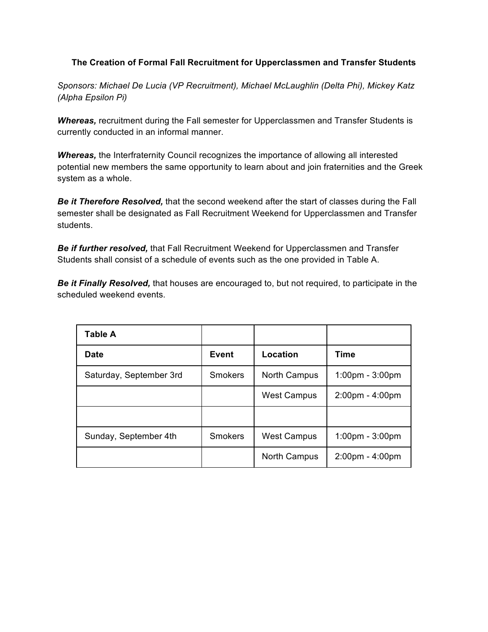## **The Creation of Formal Fall Recruitment for Upperclassmen and Transfer Students**

*Sponsors: Michael De Lucia (VP Recruitment), Michael McLaughlin (Delta Phi), Mickey Katz (Alpha Epsilon Pi)*

*Whereas,* recruitment during the Fall semester for Upperclassmen and Transfer Students is currently conducted in an informal manner.

*Whereas,* the Interfraternity Council recognizes the importance of allowing all interested potential new members the same opportunity to learn about and join fraternities and the Greek system as a whole.

*Be it Therefore Resolved,* that the second weekend after the start of classes during the Fall semester shall be designated as Fall Recruitment Weekend for Upperclassmen and Transfer students.

*Be if further resolved,* that Fall Recruitment Weekend for Upperclassmen and Transfer Students shall consist of a schedule of events such as the one provided in Table A.

*Be it Finally Resolved,* that houses are encouraged to, but not required, to participate in the scheduled weekend events.

| Table A                 |                |                     |                                   |
|-------------------------|----------------|---------------------|-----------------------------------|
| <b>Date</b>             | <b>Event</b>   | <b>Location</b>     | Time                              |
| Saturday, September 3rd | Smokers        | North Campus        | $1:00 \text{pm} - 3:00 \text{pm}$ |
|                         |                | <b>West Campus</b>  | $2:00 \text{pm} - 4:00 \text{pm}$ |
|                         |                |                     |                                   |
| Sunday, September 4th   | <b>Smokers</b> | <b>West Campus</b>  | $1:00 \text{pm} - 3:00 \text{pm}$ |
|                         |                | <b>North Campus</b> | $2:00 \text{pm} - 4:00 \text{pm}$ |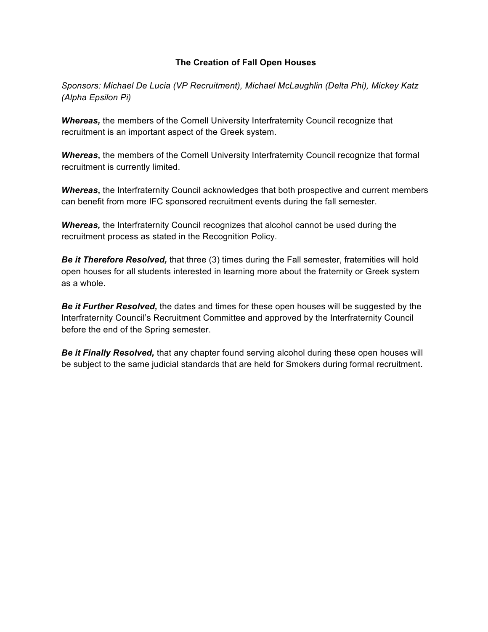## **The Creation of Fall Open Houses**

*Sponsors: Michael De Lucia (VP Recruitment), Michael McLaughlin (Delta Phi), Mickey Katz (Alpha Epsilon Pi)*

*Whereas,* the members of the Cornell University Interfraternity Council recognize that recruitment is an important aspect of the Greek system.

**Whereas**, the members of the Cornell University Interfraternity Council recognize that formal recruitment is currently limited.

**Whereas**, the Interfraternity Council acknowledges that both prospective and current members can benefit from more IFC sponsored recruitment events during the fall semester.

*Whereas,* the Interfraternity Council recognizes that alcohol cannot be used during the recruitment process as stated in the Recognition Policy.

*Be it Therefore Resolved,* that three (3) times during the Fall semester, fraternities will hold open houses for all students interested in learning more about the fraternity or Greek system as a whole.

*Be it Further Resolved,* the dates and times for these open houses will be suggested by the Interfraternity Council's Recruitment Committee and approved by the Interfraternity Council before the end of the Spring semester.

*Be it Finally Resolved,* that any chapter found serving alcohol during these open houses will be subject to the same judicial standards that are held for Smokers during formal recruitment.